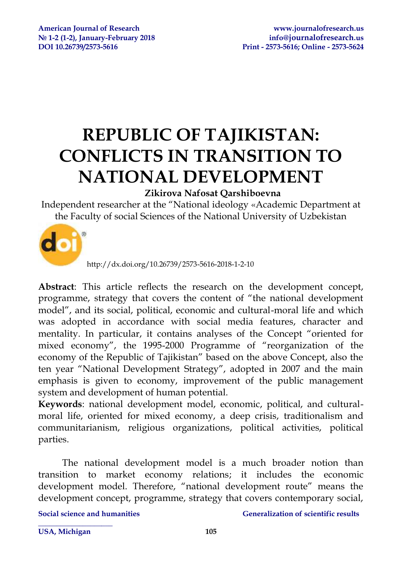# **REPUBLIC OF TAJIKISTAN: CONFLICTS IN TRANSITION TO NATIONAL DEVELOPMENT**

## **Zikirova Nafosat Qarshiboevna**

Independent researcher at the "National ideology «Academic Department at the Faculty of social Sciences of the National University of Uzbekistan



http://dx.doi.org/10.26739/2573-5616-2018-1-2-10

**Abstract**: This article reflects the research on the development concept, programme, strategy that covers the content of "the national development model", and its social, political, economic and cultural-moral life and which was adopted in accordance with social media features, character and mentality. In particular, it contains analyses of the Concept "oriented for mixed economy", the 1995-2000 Programme of "reorganization of the economy of the Republic of Tajikistan" based on the above Concept, also the ten year "National Development Strategy", adopted in 2007 and the main emphasis is given to economy, improvement of the public management system and development of human potential.

**Keywords**: national development model, economic, political, and culturalmoral life, oriented for mixed economy, a deep crisis, traditionalism and communitarianism, religious organizations, political activities, political parties.

The national development model is a much broader notion than transition to market economy relations; it includes the economic development model. Therefore, "national development route" means the development concept, programme, strategy that covers contemporary social,

**\_\_\_\_\_\_\_\_\_\_\_\_\_\_\_\_\_\_\_\_** 

#### **Social science and humanities Generalization of scientific results**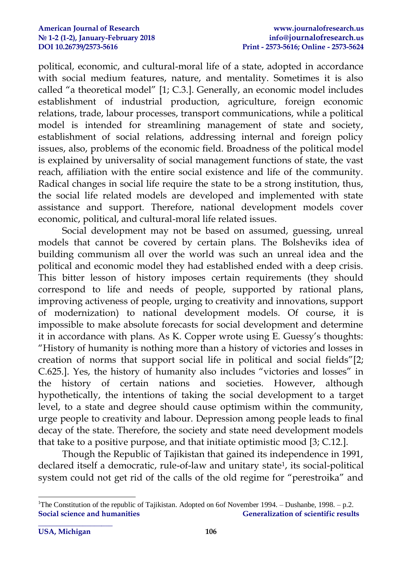political, economic, and cultural-moral life of a state, adopted in accordance with social medium features, nature, and mentality. Sometimes it is also called "a theoretical model" [1; С.3.]. Generally, an economic model includes establishment of industrial production, agriculture, foreign economic relations, trade, labour processes, transport communications, while a political model is intended for streamlining management of state and society, establishment of social relations, addressing internal and foreign policy issues, also, problems of the economic field. Broadness of the political model is explained by universality of social management functions of state, the vast reach, affiliation with the entire social existence and life of the community. Radical changes in social life require the state to be a strong institution, thus, the social life related models are developed and implemented with state assistance and support. Therefore, national development models cover economic, political, and cultural-moral life related issues.

Social development may not be based on assumed, guessing, unreal models that cannot be covered by certain plans. The Bolsheviks idea of building communism all over the world was such an unreal idea and the political and economic model they had established ended with a deep crisis. This bitter lesson of history imposes certain requirements (they should correspond to life and needs of people, supported by rational plans, improving activeness of people, urging to creativity and innovations, support of modernization) to national development models. Of course, it is impossible to make absolute forecasts for social development and determine it in accordance with plans. As K. Copper wrote using E. Guessy's thoughts: "History of humanity is nothing more than a history of victories and losses in creation of norms that support social life in political and social fields"[2; C.625.]. Yes, the history of humanity also includes "victories and losses" in the history of certain nations and societies. However, although hypothetically, the intentions of taking the social development to a target level, to a state and degree should cause optimism within the community, urge people to creativity and labour. Depression among people leads to final decay of the state. Therefore, the society and state need development models that take to a positive purpose, and that initiate optimistic mood [3; C.12.].

Though the Republic of Tajikistan that gained its independence in 1991, declared itself a democratic, rule-of-law and unitary state<sup>1</sup> , its social-political system could not get rid of the calls of the old regime for "perestroika" and

1

**Social science and humanities Generalization of scientific results** <sup>1</sup>The Constitution of the republic of Tajikistan. Adopted on 6of November 1994. – Dushanbe, 1998. – p.2.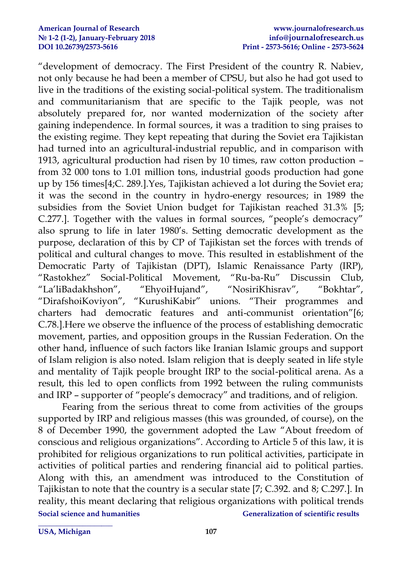"development of democracy. The First President of the country R. Nabiev, not only because he had been a member of CPSU, but also he had got used to live in the traditions of the existing social-political system. The traditionalism and communitarianism that are specific to the Tajik people, was not absolutely prepared for, nor wanted modernization of the society after gaining independence. In formal sources, it was a tradition to sing praises to the existing regime. They kept repeating that during the Soviet era Tajikistan had turned into an agricultural-industrial republic, and in comparison with 1913, agricultural production had risen by 10 times, raw cotton production – from 32 000 tons to 1.01 million tons, industrial goods production had gone up by 156 times[4;C. 289.].Yes, Tajikistan achieved a lot during the Soviet era; it was the second in the country in hydro-energy resources; in 1989 the subsidies from the Soviet Union budget for Tajikistan reached 31.3% [5; C.277.]. Together with the values in formal sources, "people's democracy" also sprung to life in later 1980's. Setting democratic development as the purpose, declaration of this by CP of Tajikistan set the forces with trends of political and cultural changes to move. This resulted in establishment of the Democratic Party of Tajikistan (DPT), Islamic Renaissance Party (IRP), "Rastokhez" Social-Political Movement, "Ru-ba-Ru" Discussin Club, "La'liBadakhshon", "EhyoiHujand", "NosiriKhisrav", "Bokhtar", "DirafshoiKoviyon", "KurushiKabir" unions. "Their programmes and charters had democratic features and anti-communist orientation"[6; C.78.].Here we observe the influence of the process of establishing democratic movement, parties, and opposition groups in the Russian Federation. On the other hand, influence of such factors like Iranian Islamic groups and support of Islam religion is also noted. Islam religion that is deeply seated in life style and mentality of Tajik people brought IRP to the social-political arena. As a result, this led to open conflicts from 1992 between the ruling communists and IRP – supporter of "people's democracy" and traditions, and of religion.

**Social science and humanities Social scientific results** Generalization of scientific results Fearing from the serious threat to come from activities of the groups supported by IRP and religious masses (this was grounded, of course), on the 8 of December 1990, the government adopted the Law "About freedom of conscious and religious organizations". According to Article 5 of this law, it is prohibited for religious organizations to run political activities, participate in activities of political parties and rendering financial aid to political parties. Along with this, an amendment was introduced to the Constitution of Tajikistan to note that the country is a secular state [7; C.392. and 8; С.297.]. In reality, this meant declaring that religious organizations with political trends

**\_\_\_\_\_\_\_\_\_\_\_\_\_\_\_\_\_\_\_\_ USA, Michigan 107**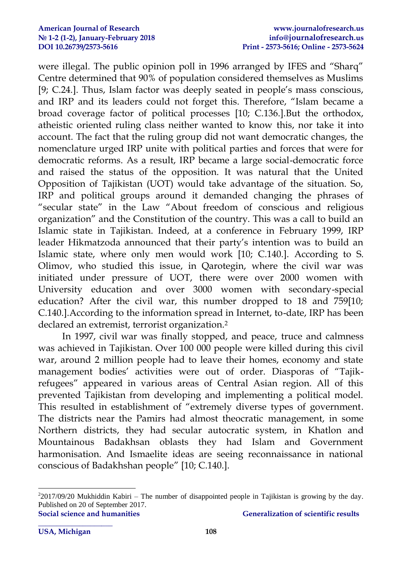were illegal. The public opinion poll in 1996 arranged by IFES and "Sharq" Centre determined that 90% of population considered themselves as Muslims [9; C.24.]. Thus, Islam factor was deeply seated in people's mass conscious, and IRP and its leaders could not forget this. Therefore, "Islam became a broad coverage factor of political processes [10; C.136.].But the orthodox, atheistic oriented ruling class neither wanted to know this, nor take it into account. The fact that the ruling group did not want democratic changes, the nomenclature urged IRP unite with political parties and forces that were for democratic reforms. As a result, IRP became a large social-democratic force and raised the status of the opposition. It was natural that the United Opposition of Tajikistan (UOT) would take advantage of the situation. So, IRP and political groups around it demanded changing the phrases of "secular state" in the Law "About freedom of conscious and religious organization" and the Constitution of the country. This was a call to build an Islamic state in Tajikistan. Indeed, at a conference in February 1999, IRP leader Hikmatzoda announced that their party's intention was to build an Islamic state, where only men would work [10; C.140.]. According to S. Olimov, who studied this issue, in Qarotegin, where the civil war was initiated under pressure of UOT, there were over 2000 women with University education and over 3000 women with secondary-special education? After the civil war, this number dropped to 18 and 759[10; C.140.].According to the information spread in Internet, to-date, IRP has been declared an extremist, terrorist organization. 2

In 1997, civil war was finally stopped, and peace, truce and calmness was achieved in Tajikistan. Over 100 000 people were killed during this civil war, around 2 million people had to leave their homes, economy and state management bodies' activities were out of order. Diasporas of "Tajikrefugees" appeared in various areas of Central Asian region. All of this prevented Tajikistan from developing and implementing a political model. This resulted in establishment of "extremely diverse types of government. The districts near the Pamirs had almost theocratic management, in some Northern districts, they had secular autocratic system, in Khatlon and Mountainous Badakhsan oblasts they had Islam and Government harmonisation. And Ismaelite ideas are seeing reconnaissance in national conscious of Badakhshan people" [10; С.140.].

**\_\_\_\_\_\_\_\_\_\_\_\_\_\_\_\_\_\_\_\_** 

1

**Social science and humanities Generalization of scientific results**  $22017/09/20$  Mukhiddin Kabiri – The number of disappointed people in Tajikistan is growing by the day. Published on 20 of September 2017.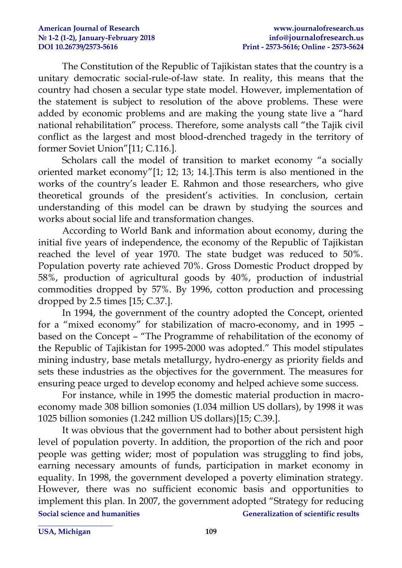The Constitution of the Republic of Tajikistan states that the country is a unitary democratic social-rule-of-law state. In reality, this means that the country had chosen a secular type state model. However, implementation of the statement is subject to resolution of the above problems. These were added by economic problems and are making the young state live a "hard national rehabilitation" process. Therefore, some analysts call "the Tajik civil conflict as the largest and most blood-drenched tragedy in the territory of former Soviet Union"[11; C.116.].

Scholars call the model of transition to market economy "a socially oriented market economy"[1; 12; 13; 14.].This term is also mentioned in the works of the country's leader E. Rahmon and those researchers, who give theoretical grounds of the president's activities. In conclusion, certain understanding of this model can be drawn by studying the sources and works about social life and transformation changes.

According to World Bank and information about economy, during the initial five years of independence, the economy of the Republic of Tajikistan reached the level of year 1970. The state budget was reduced to 50%. Population poverty rate achieved 70%. Gross Domestic Product dropped by 58%, production of agricultural goods by 40%, production of industrial commodities dropped by 57%. By 1996, cotton production and processing dropped by 2.5 times [15; C.37.].

In 1994, the government of the country adopted the Concept, oriented for a "mixed economy" for stabilization of macro-economy, and in 1995 – based on the Concept – "The Programme of rehabilitation of the economy of the Republic of Tajikistan for 1995-2000 was adopted." This model stipulates mining industry, base metals metallurgy, hydro-energy as priority fields and sets these industries as the objectives for the government. The measures for ensuring peace urged to develop economy and helped achieve some success.

For instance, while in 1995 the domestic material production in macroeconomy made 308 billion somonies (1.034 million US dollars), by 1998 it was 1025 billion somonies (1.242 million US dollars)[15; C.39.].

**Social science and humanities Social scientific results** Generalization of scientific results It was obvious that the government had to bother about persistent high level of population poverty. In addition, the proportion of the rich and poor people was getting wider; most of population was struggling to find jobs, earning necessary amounts of funds, participation in market economy in equality. In 1998, the government developed a poverty elimination strategy. However, there was no sufficient economic basis and opportunities to implement this plan. In 2007, the government adopted "Strategy for reducing

**\_\_\_\_\_\_\_\_\_\_\_\_\_\_\_\_\_\_\_\_**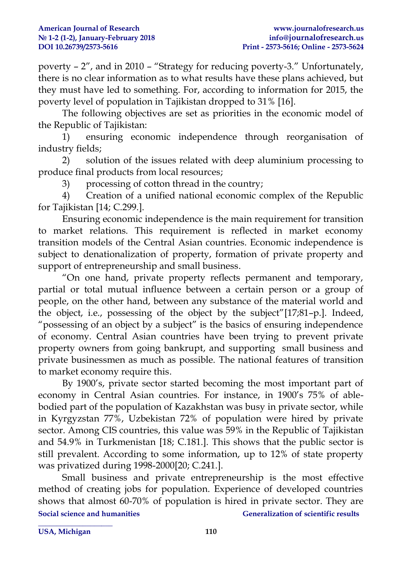poverty – 2", and in 2010 – "Strategy for reducing poverty-3." Unfortunately, there is no clear information as to what results have these plans achieved, but they must have led to something. For, according to information for 2015, the poverty level of population in Tajikistan dropped to 31% [16].

The following objectives are set as priorities in the economic model of the Republic of Tajikistan:

1) ensuring economic independence through reorganisation of industry fields;

2) solution of the issues related with deep aluminium processing to produce final products from local resources;

3) processing of cotton thread in the country;

4) Creation of a unified national economic complex of the Republic for Tajikistan [14; C.299.].

Ensuring economic independence is the main requirement for transition to market relations. This requirement is reflected in market economy transition models of the Central Asian countries. Economic independence is subject to denationalization of property, formation of private property and support of entrepreneurship and small business.

"On one hand, private property reflects permanent and temporary, partial or total mutual influence between a certain person or a group of people, on the other hand, between any substance of the material world and the object, i.e., possessing of the object by the subject"[17;81–p.]. Indeed, "possessing of an object by a subject" is the basics of ensuring independence of economy. Central Asian countries have been trying to prevent private property owners from going bankrupt, and supporting small business and private businessmen as much as possible. The national features of transition to market economy require this.

By 1900's, private sector started becoming the most important part of economy in Central Asian countries. For instance, in 1900's 75% of ablebodied part of the population of Kazakhstan was busy in private sector, while in Kyrgyzstan 77%, Uzbekistan 72% of population were hired by private sector. Among CIS countries, this value was 59% in the Republic of Tajikistan and 54.9% in Turkmenistan [18; С.181.]. This shows that the public sector is still prevalent. According to some information, up to 12% of state property was privatized during 1998-2000[20; С.241.].

**Social science and humanities Social scientific results** Generalization of scientific results Small business and private entrepreneurship is the most effective method of creating jobs for population. Experience of developed countries shows that almost 60-70% of population is hired in private sector. They are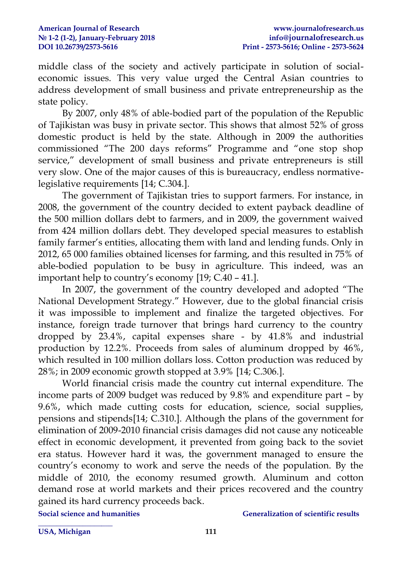middle class of the society and actively participate in solution of socialeconomic issues. This very value urged the Central Asian countries to address development of small business and private entrepreneurship as the state policy.

By 2007, only 48% of able-bodied part of the population of the Republic of Tajikistan was busy in private sector. This shows that almost 52% of gross domestic product is held by the state. Although in 2009 the authorities commissioned "The 200 days reforms" Programme and "one stop shop service," development of small business and private entrepreneurs is still very slow. One of the major causes of this is bureaucracy, endless normativelegislative requirements [14; С.304.].

The government of Tajikistan tries to support farmers. For instance, in 2008, the government of the country decided to extent payback deadline of the 500 million dollars debt to farmers, and in 2009, the government waived from 424 million dollars debt. They developed special measures to establish family farmer's entities, allocating them with land and lending funds. Only in 2012, 65 000 families obtained licenses for farming, and this resulted in 75% of able-bodied population to be busy in agriculture. This indeed, was an important help to country's economy [19; С.40 – 41.].

In 2007, the government of the country developed and adopted "The National Development Strategy." However, due to the global financial crisis it was impossible to implement and finalize the targeted objectives. For instance, foreign trade turnover that brings hard currency to the country dropped by 23.4%, capital expenses share - by 41.8% and industrial production by 12.2%. Proceeds from sales of aluminum dropped by 46%, which resulted in 100 million dollars loss. Cotton production was reduced by 28%; in 2009 economic growth stopped at 3.9% [14; С.306.].

World financial crisis made the country cut internal expenditure. The income parts of 2009 budget was reduced by 9.8% and expenditure part – by 9.6%, which made cutting costs for education, science, social supplies, pensions and stipends[14; С.310.]. Although the plans of the government for elimination of 2009-2010 financial crisis damages did not cause any noticeable effect in economic development, it prevented from going back to the soviet era status. However hard it was, the government managed to ensure the country's economy to work and serve the needs of the population. By the middle of 2010, the economy resumed growth. Aluminum and cotton demand rose at world markets and their prices recovered and the country gained its hard currency proceeds back.

**\_\_\_\_\_\_\_\_\_\_\_\_\_\_\_\_\_\_\_\_** 

**Social science and humanities Social scientific results** Generalization of scientific results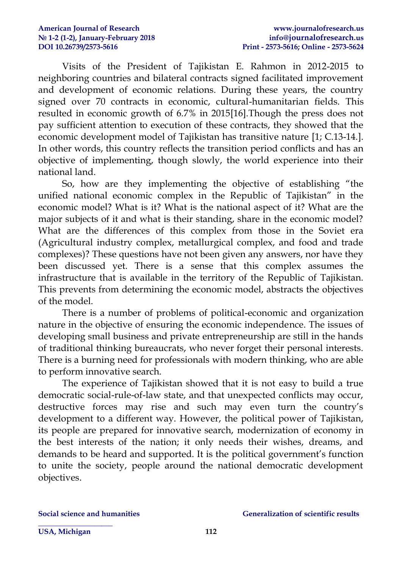Visits of the President of Tajikistan E. Rahmon in 2012-2015 to neighboring countries and bilateral contracts signed facilitated improvement and development of economic relations. During these years, the country signed over 70 contracts in economic, cultural-humanitarian fields. This resulted in economic growth of 6.7% in 2015[16].Though the press does not pay sufficient attention to execution of these contracts, they showed that the economic development model of Tajikistan has transitive nature [1; C.13-14.]. In other words, this country reflects the transition period conflicts and has an objective of implementing, though slowly, the world experience into their national land.

So, how are they implementing the objective of establishing "the unified national economic complex in the Republic of Tajikistan" in the economic model? What is it? What is the national aspect of it? What are the major subjects of it and what is their standing, share in the economic model? What are the differences of this complex from those in the Soviet era (Agricultural industry complex, metallurgical complex, and food and trade complexes)? These questions have not been given any answers, nor have they been discussed yet. There is a sense that this complex assumes the infrastructure that is available in the territory of the Republic of Tajikistan. This prevents from determining the economic model, abstracts the objectives of the model.

There is a number of problems of political-economic and organization nature in the objective of ensuring the economic independence. The issues of developing small business and private entrepreneurship are still in the hands of traditional thinking bureaucrats, who never forget their personal interests. There is a burning need for professionals with modern thinking, who are able to perform innovative search.

The experience of Tajikistan showed that it is not easy to build a true democratic social-rule-of-law state, and that unexpected conflicts may occur, destructive forces may rise and such may even turn the country's development to a different way. However, the political power of Tajikistan, its people are prepared for innovative search, modernization of economy in the best interests of the nation; it only needs their wishes, dreams, and demands to be heard and supported. It is the political government's function to unite the society, people around the national democratic development objectives.

**\_\_\_\_\_\_\_\_\_\_\_\_\_\_\_\_\_\_\_\_**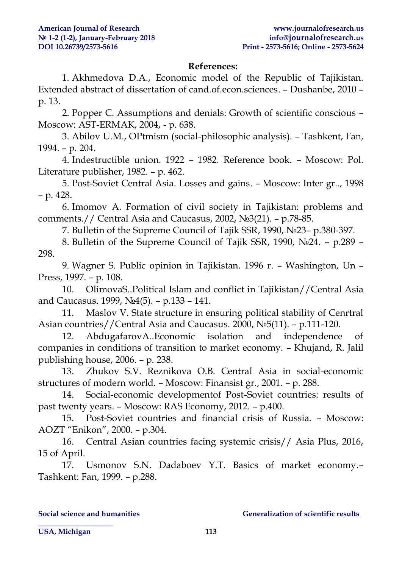### **References:**

1. Akhmedova D.A., Economic model of the Republic of Tajikistan. Extended abstract of dissertation of cand.of.econ.sciences. – Dushanbe, 2010 – p. 13.

2. Popper C. Assumptions and denials: Growth of scientific conscious – Moscow: AST-ERMAK, 2004, - p. 638.

3. Abilov U.M., OPtmism (social-philosophic analysis). – Tashkent, Fan, 1994. – p. 204.

4. Indestructible union. 1922 – 1982. Reference book. – Moscow: Pol. Literature publisher, 1982. – p. 462.

5. Post-Soviet Central Asia. Losses and gains. – Moscow: Inter gr.., 1998 – p. 428.

6. Imomov A. Formation of civil society in Tajikistan: problems and comments.// Central Asia and Caucasus, 2002, №3(21). – p.78-85.

7. Bulletin of the Supreme Council of Tajik SSR, 1990, №23– p.380-397.

8. Bulletin of the Supreme Council of Tajik SSR, 1990, №24. – p.289 – 298.

9. Wagner S. Public opinion in Tajikistan. 1996 г. – Washington, Un – Press, 1997. – p. 108.

10. OlimovaS..Political Islam and conflict in Tajikistan//Central Asia and Caucasus. 1999, №4(5). – p.133 – 141.

11. Maslov V. State structure in ensuring political stability of Cenrtral Asian countries//Central Asia and Caucasus. 2000, №5(11). – p.111-120.

12. AbdugafarovA..Economic isolation and independence of companies in conditions of transition to market economy. – Khujand, R. Jalil publishing house, 2006. – p. 238.

13. Zhukov S.V. Reznikova O.B. Central Asia in social-economic structures of modern world. – Moscow: Finansist gr., 2001. – p. 288.

14. Social-economic developmentof Post-Soviet countries: results of past twenty years. – Moscow: RAS Economy, 2012. – p.400.

15. Post-Soviet countries and financial crisis of Russia. – Moscow: AOZT "Enikon", 2000. – p.304.

16. Central Asian countries facing systemic crisis// Asia Plus, 2016, 15 of April.

17. Usmonov S.N. Dadaboev Y.T. Basics of market economy.– Tashkent: Fan, 1999. – p.288.

**\_\_\_\_\_\_\_\_\_\_\_\_\_\_\_\_\_\_\_\_** 

#### **Social science and humanities Social scientific results** Generalization of scientific results